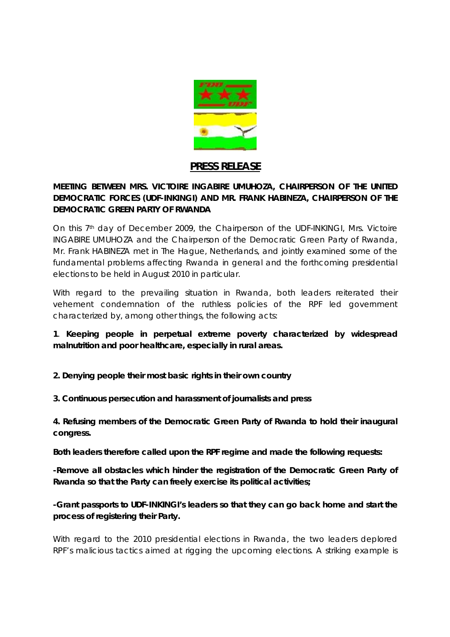

## **PRESS RELEASE**

**MEETING BETWEEN MRS. VICTOIRE INGABIRE UMUHOZA, CHAIRPERSON OF THE UNITED DEMOCRATIC FORCES (UDF-INKINGI) AND MR. FRANK HABINEZA, CHAIRPERSON OF THE DEMOCRATIC GREEN PARTY OF RWANDA**

On this 7<sup>th</sup> day of December 2009, the Chairperson of the UDF-INKINGI, Mrs. Victoire INGABIRE UMUHOZA and the Chairperson of the Democratic Green Party of Rwanda, Mr. Frank HABINEZA met in The Hague, Netherlands, and jointly examined some of the fundamental problems affecting Rwanda in general and the forthcoming presidential elections to be held in August 2010 in particular.

With regard to the prevailing situation in Rwanda, both leaders reiterated their vehement condemnation of the ruthless policies of the RPF led government characterized by, among other things, the following acts:

**1***. Keeping people in perpetual extreme poverty characterized by widespread malnutrition and poor healthcare, especially in rural areas.*

- *2. Denying people their most basic rights in their own country*
- *3. Continuous persecution and harassment of journalists and press*

*4. Refusing members of the Democratic Green Party of Rwanda to hold their inaugural congress.* 

**Both leaders therefore called upon the RPF regime and made the following requests:**

-Remove all obstacles which hinder the registration of the Democratic Green Party of *Rwanda so that the Party can freely exercise its political activities;*

*-Grant passports to UDF-INKINGI's leaders so that they can go back home and start the process of registering their Party.*

With regard to the 2010 presidential elections in Rwanda, the two leaders deplored RPF's malicious tactics aimed at rigging the upcoming elections. A striking example is